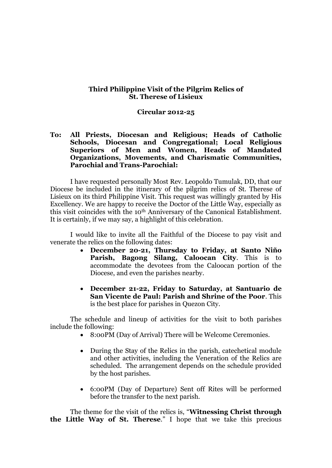## **Third Philippine Visit of the Pilgrim Relics of St. Therese of Lisieux**

## **Circular 2012-25**

**To: All Priests, Diocesan and Religious; Heads of Catholic Schools, Diocesan and Congregational; Local Religious Superiors of Men and Women, Heads of Mandated Organizations, Movements, and Charismatic Communities, Parochial and Trans-Parochial:**

I have requested personally Most Rev. Leopoldo Tumulak, DD, that our Diocese be included in the itinerary of the pilgrim relics of St. Therese of Lisieux on its third Philippine Visit. This request was willingly granted by His Excellency. We are happy to receive the Doctor of the Little Way, especially as this visit coincides with the 10th Anniversary of the Canonical Establishment. It is certainly, if we may say, a highlight of this celebration.

I would like to invite all the Faithful of the Diocese to pay visit and venerate the relics on the following dates:

- **December 20-21, Thursday to Friday, at Santo Niño Parish, Bagong Silang, Caloocan City**. This is to accommodate the devotees from the Caloocan portion of the Diocese, and even the parishes nearby.
- **December 21-22, Friday to Saturday, at Santuario de San Vicente de Paul: Parish and Shrine of the Poor**. This is the best place for parishes in Quezon City.

The schedule and lineup of activities for the visit to both parishes include the following:

- 8:00PM (Day of Arrival) There will be Welcome Ceremonies.
- During the Stay of the Relics in the parish, catechetical module and other activities, including the Veneration of the Relics are scheduled. The arrangement depends on the schedule provided by the host parishes.
- 6:00PM (Day of Departure) Sent off Rites will be performed before the transfer to the next parish.

The theme for the visit of the relics is, "**Witnessing Christ through the Little Way of St. Therese**." I hope that we take this precious